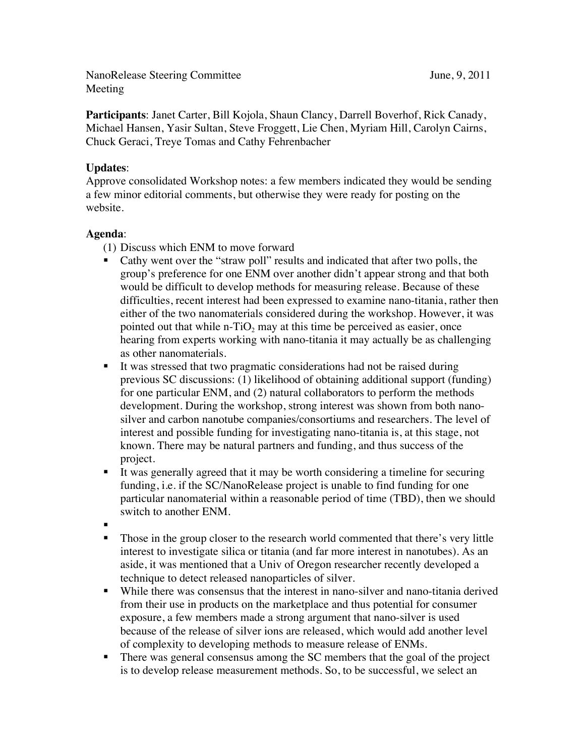NanoRelease Steering Committee June, 9, 2011 Meeting

**Participants**: Janet Carter, Bill Kojola, Shaun Clancy, Darrell Boverhof, Rick Canady, Michael Hansen, Yasir Sultan, Steve Froggett, Lie Chen, Myriam Hill, Carolyn Cairns, Chuck Geraci, Treye Tomas and Cathy Fehrenbacher

## **Updates**:

Approve consolidated Workshop notes: a few members indicated they would be sending a few minor editorial comments, but otherwise they were ready for posting on the website.

## **Agenda**:

- (1) Discuss which ENM to move forward
- Cathy went over the "straw poll" results and indicated that after two polls, the group's preference for one ENM over another didn't appear strong and that both would be difficult to develop methods for measuring release. Because of these difficulties, recent interest had been expressed to examine nano-titania, rather then either of the two nanomaterials considered during the workshop. However, it was pointed out that while n-TiO<sub>2</sub> may at this time be perceived as easier, once hearing from experts working with nano-titania it may actually be as challenging as other nanomaterials.
- It was stressed that two pragmatic considerations had not be raised during previous SC discussions: (1) likelihood of obtaining additional support (funding) for one particular ENM, and (2) natural collaborators to perform the methods development. During the workshop, strong interest was shown from both nanosilver and carbon nanotube companies/consortiums and researchers. The level of interest and possible funding for investigating nano-titania is, at this stage, not known. There may be natural partners and funding, and thus success of the project.
- It was generally agreed that it may be worth considering a timeline for securing funding, i.e. if the SC/NanoRelease project is unable to find funding for one particular nanomaterial within a reasonable period of time (TBD), then we should switch to another ENM.
- .
- Those in the group closer to the research world commented that there's very little interest to investigate silica or titania (and far more interest in nanotubes). As an aside, it was mentioned that a Univ of Oregon researcher recently developed a technique to detect released nanoparticles of silver.
- While there was consensus that the interest in nano-silver and nano-titania derived from their use in products on the marketplace and thus potential for consumer exposure, a few members made a strong argument that nano-silver is used because of the release of silver ions are released, which would add another level of complexity to developing methods to measure release of ENMs.
- There was general consensus among the SC members that the goal of the project is to develop release measurement methods. So, to be successful, we select an